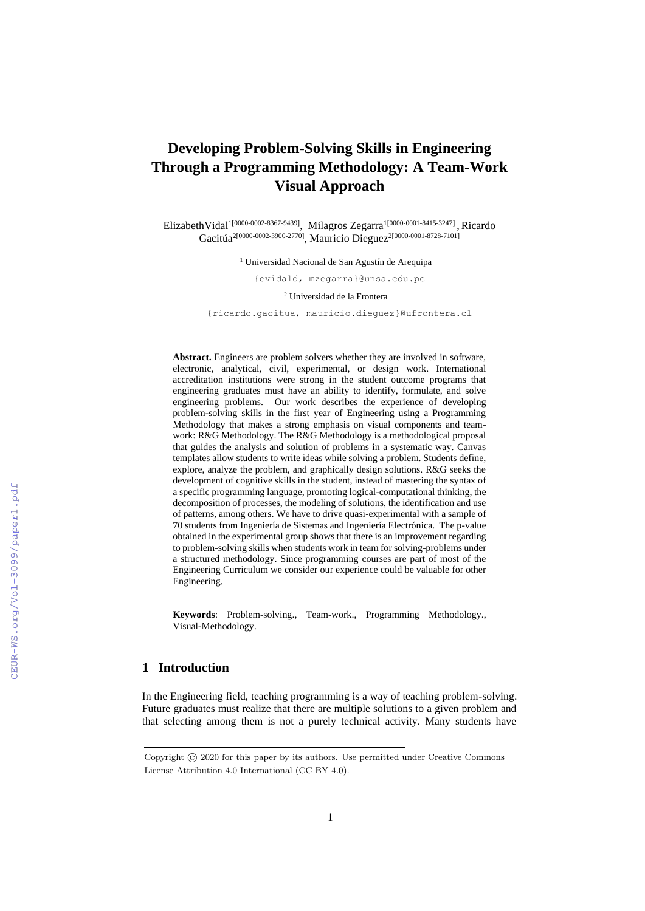# **Developing Problem-Solving Skills in Engineering Through a Programming Methodology: A Team-Work Visual Approach**

ElizabethVidal<sup>1[0000-0002-8367-9439]</sup>, Milagros Zegarra<sup>1[0000-0001-8415-3247]</sup>, Ricardo Gacitúa<sup>2[0000-0002-3900-2770]</sup>, Mauricio Dieguez<sup>2[0000-0001-8728-7101]</sup>

<sup>1</sup> Universidad Nacional de San Agustín de Arequipa

{evidald, mzegarra}@unsa.edu.pe

<sup>2</sup> Universidad de la Frontera

{ricardo.gacitua, mauricio.dieguez}@ufrontera.cl

**Abstract.** Engineers are problem solvers whether they are involved in software, electronic, analytical, civil, experimental, or design work. International accreditation institutions were strong in the student outcome programs that engineering graduates must have an ability to identify, formulate, and solve engineering problems. Our work describes the experience of developing problem-solving skills in the first year of Engineering using a Programming Methodology that makes a strong emphasis on visual components and teamwork: R&G Methodology. The R&G Methodology is a methodological proposal that guides the analysis and solution of problems in a systematic way. Canvas templates allow students to write ideas while solving a problem. Students define, explore, analyze the problem, and graphically design solutions. R&G seeks the development of cognitive skills in the student, instead of mastering the syntax of a specific programming language, promoting logical-computational thinking, the decomposition of processes, the modeling of solutions, the identification and use of patterns, among others. We have to drive quasi-experimental with a sample of 70 students from Ingeniería de Sistemas and Ingeniería Electrónica. The p-value obtained in the experimental group shows that there is an improvement regarding to problem-solving skills when students work in team for solving-problems under a structured methodology. Since programming courses are part of most of the Engineering Curriculum we consider our experience could be valuable for other Engineering.

**Keywords**: Problem-solving., Team-work., Programming Methodology., Visual-Methodology.

## **1 Introduction**

In the Engineering field, teaching programming is a way of teaching problem-solving. Future graduates must realize that there are multiple solutions to a given problem and that selecting among them is not a purely technical activity. Many students have

Copyright © 2020 for this paper by its authors. Use permitted under Creative Commons License Attribution 4.0 International (CC BY 4.0).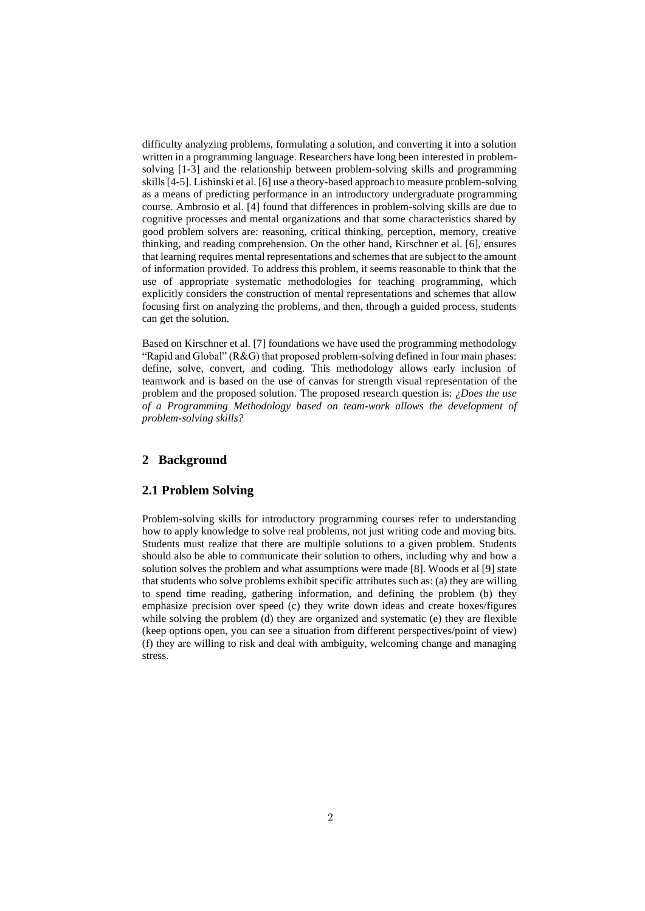difficulty analyzing problems, formulating a solution, and converting it into a solution written in a programming language. Researchers have long been interested in problemsolving [1-3] and the relationship between problem-solving skills and programming skills [4-5]. Lishinski et al. [6] use a theory-based approach to measure problem-solving as a means of predicting performance in an introductory undergraduate programming course. Ambrosio et al. [4] found that differences in problem-solving skills are due to cognitive processes and mental organizations and that some characteristics shared by good problem solvers are: reasoning, critical thinking, perception, memory, creative thinking, and reading comprehension. On the other hand, Kirschner et al. [6], ensures that learning requires mental representations and schemes that are subject to the amount of information provided. To address this problem, it seems reasonable to think that the use of appropriate systematic methodologies for teaching programming, which explicitly considers the construction of mental representations and schemes that allow focusing first on analyzing the problems, and then, through a guided process, students can get the solution.

Based on Kirschner et al. [7] foundations we have used the programming methodology "Rapid and Global" (R&G) that proposed problem-solving defined in four main phases: define, solve, convert, and coding. This methodology allows early inclusion of teamwork and is based on the use of canvas for strength visual representation of the problem and the proposed solution. The proposed research question is: *¿Does the use of a Programming Methodology based on team-work allows the development of problem-solving skills?* 

# **2 Background**

### **2.1 Problem Solving**

Problem-solving skills for introductory programming courses refer to understanding how to apply knowledge to solve real problems, not just writing code and moving bits. Students must realize that there are multiple solutions to a given problem. Students should also be able to communicate their solution to others, including why and how a solution solves the problem and what assumptions were made [8]. Woods et al [9] state that students who solve problems exhibit specific attributes such as: (a) they are willing to spend time reading, gathering information, and defining the problem (b) they emphasize precision over speed (c) they write down ideas and create boxes/figures while solving the problem (d) they are organized and systematic (e) they are flexible (keep options open, you can see a situation from different perspectives/point of view) (f) they are willing to risk and deal with ambiguity, welcoming change and managing stress.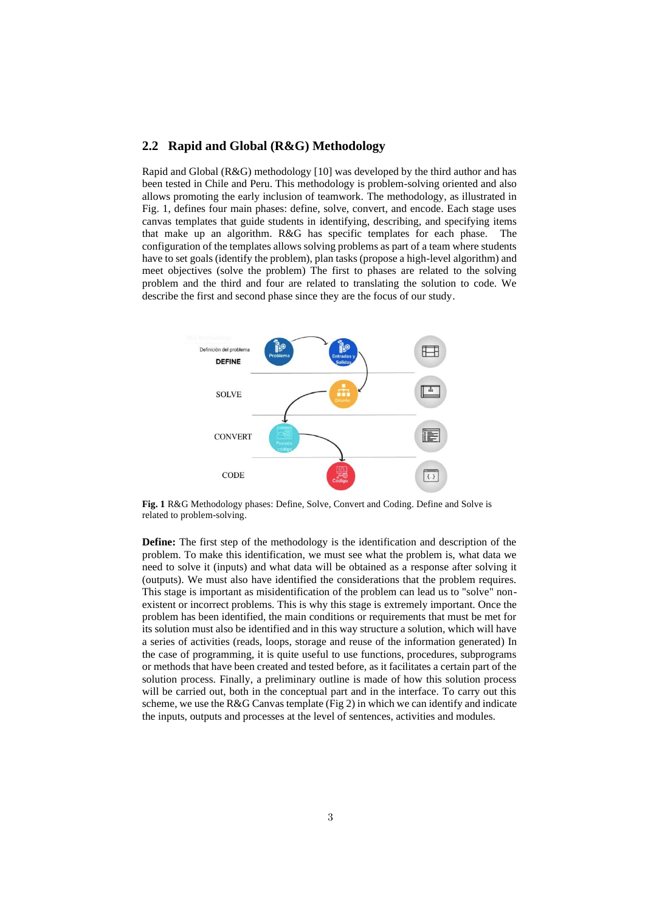## **2.2 Rapid and Global (R&G) Methodology**

Rapid and Global (R&G) methodology [10] was developed by the third author and has been tested in Chile and Peru. This methodology is problem-solving oriented and also allows promoting the early inclusion of teamwork. The methodology, as illustrated in Fig. 1, defines four main phases: define, solve, convert, and encode. Each stage uses canvas templates that guide students in identifying, describing, and specifying items that make up an algorithm. R&G has specific templates for each phase. The configuration of the templates allows solving problems as part of a team where students have to set goals (identify the problem), plan tasks (propose a high-level algorithm) and meet objectives (solve the problem) The first to phases are related to the solving problem and the third and four are related to translating the solution to code. We describe the first and second phase since they are the focus of our study.



**Fig. 1** R&G Methodology phases: Define, Solve, Convert and Coding. Define and Solve is related to problem-solving.

**Define:** The first step of the methodology is the identification and description of the problem. To make this identification, we must see what the problem is, what data we need to solve it (inputs) and what data will be obtained as a response after solving it (outputs). We must also have identified the considerations that the problem requires. This stage is important as misidentification of the problem can lead us to "solve" nonexistent or incorrect problems. This is why this stage is extremely important. Once the problem has been identified, the main conditions or requirements that must be met for its solution must also be identified and in this way structure a solution, which will have a series of activities (reads, loops, storage and reuse of the information generated) In the case of programming, it is quite useful to use functions, procedures, subprograms or methods that have been created and tested before, as it facilitates a certain part of the solution process. Finally, a preliminary outline is made of how this solution process will be carried out, both in the conceptual part and in the interface. To carry out this scheme, we use the R&G Canvas template (Fig 2) in which we can identify and indicate the inputs, outputs and processes at the level of sentences, activities and modules.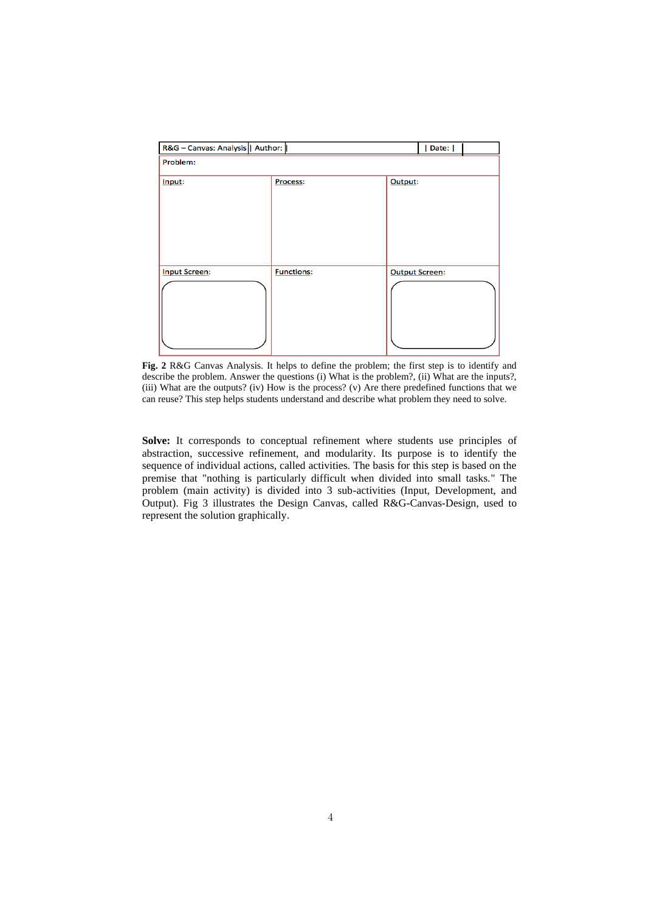| R&G - Canvas: Analysis   Author: | Date:             |                       |
|----------------------------------|-------------------|-----------------------|
| Problem:                         |                   |                       |
| Input:                           | Process:          | Output:               |
| <b>Input Screen:</b>             | <b>Functions:</b> | <b>Output Screen:</b> |

**Fig. 2** R&G Canvas Analysis. It helps to define the problem; the first step is to identify and describe the problem. Answer the questions (i) What is the problem?, (ii) What are the inputs?, (iii) What are the outputs? (iv) How is the process? (v) Are there predefined functions that we can reuse? This step helps students understand and describe what problem they need to solve.

**Solve:** It corresponds to conceptual refinement where students use principles of abstraction, successive refinement, and modularity. Its purpose is to identify the sequence of individual actions, called activities. The basis for this step is based on the premise that "nothing is particularly difficult when divided into small tasks." The problem (main activity) is divided into 3 sub-activities (Input, Development, and Output). Fig 3 illustrates the Design Canvas, called R&G-Canvas-Design, used to represent the solution graphically.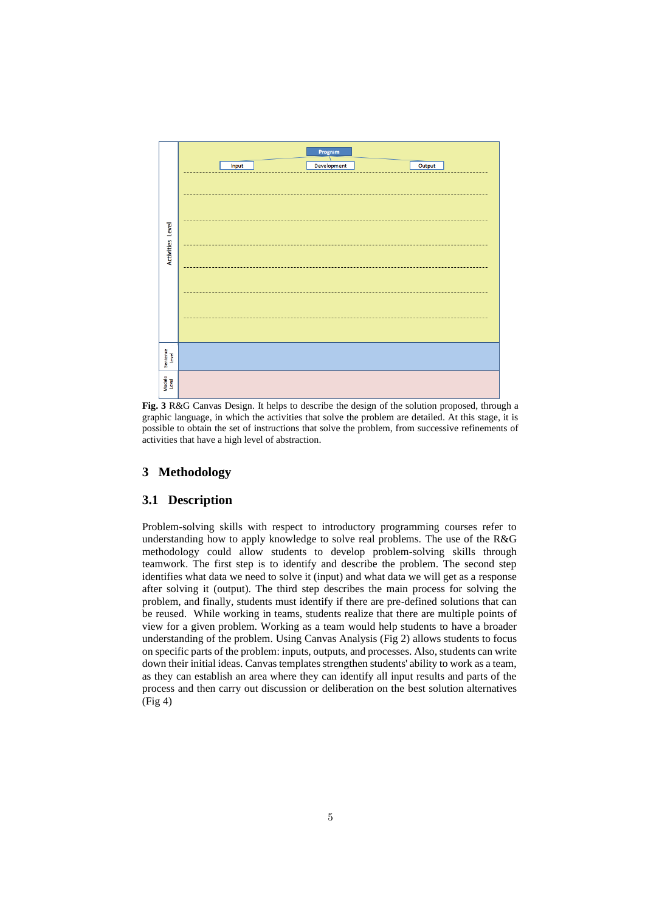

**Fig. 3** R&G Canvas Design. It helps to describe the design of the solution proposed, through a graphic language, in which the activities that solve the problem are detailed. At this stage, it is possible to obtain the set of instructions that solve the problem, from successive refinements of activities that have a high level of abstraction.

# **3 Methodology**

#### **3.1 Description**

Problem-solving skills with respect to introductory programming courses refer to understanding how to apply knowledge to solve real problems. The use of the R&G methodology could allow students to develop problem-solving skills through teamwork. The first step is to identify and describe the problem. The second step identifies what data we need to solve it (input) and what data we will get as a response after solving it (output). The third step describes the main process for solving the problem, and finally, students must identify if there are pre-defined solutions that can be reused. While working in teams, students realize that there are multiple points of view for a given problem. Working as a team would help students to have a broader understanding of the problem. Using Canvas Analysis (Fig 2) allows students to focus on specific parts of the problem: inputs, outputs, and processes. Also, students can write down their initial ideas. Canvas templates strengthen students' ability to work as a team, as they can establish an area where they can identify all input results and parts of the process and then carry out discussion or deliberation on the best solution alternatives (Fig 4)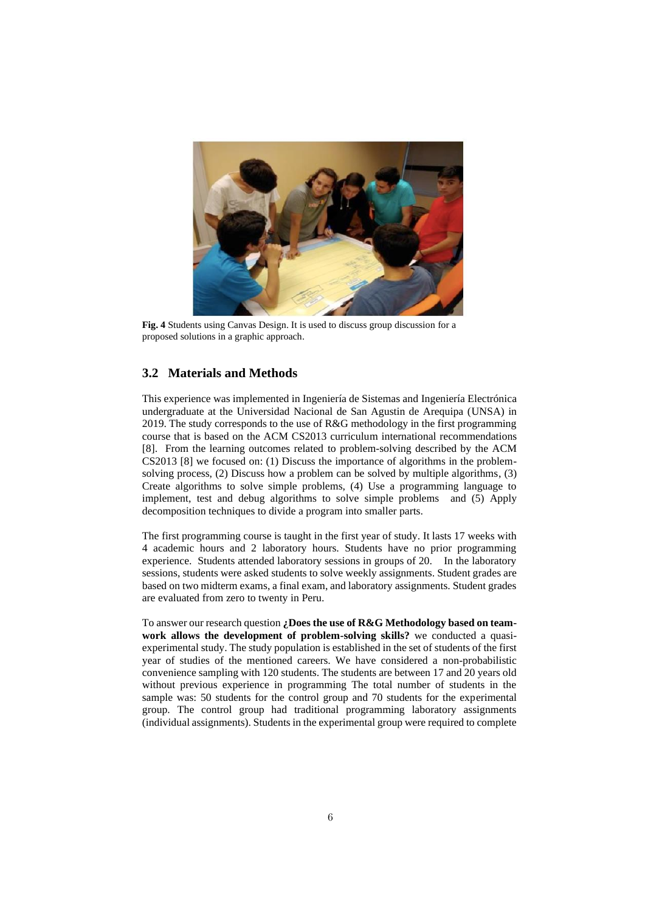

**Fig. 4** Students using Canvas Design. It is used to discuss group discussion for a proposed solutions in a graphic approach.

# **3.2 Materials and Methods**

This experience was implemented in Ingeniería de Sistemas and Ingeniería Electrónica undergraduate at the Universidad Nacional de San Agustin de Arequipa (UNSA) in 2019. The study corresponds to the use of R&G methodology in the first programming course that is based on the ACM CS2013 curriculum international recommendations [8]. From the learning outcomes related to problem-solving described by the ACM CS2013 [8] we focused on: (1) Discuss the importance of algorithms in the problemsolving process, (2) Discuss how a problem can be solved by multiple algorithms, (3) Create algorithms to solve simple problems, (4) Use a programming language to implement, test and debug algorithms to solve simple problems and (5) Apply decomposition techniques to divide a program into smaller parts.

The first programming course is taught in the first year of study. It lasts 17 weeks with 4 academic hours and 2 laboratory hours. Students have no prior programming experience. Students attended laboratory sessions in groups of 20. In the laboratory sessions, students were asked students to solve weekly assignments. Student grades are based on two midterm exams, a final exam, and laboratory assignments. Student grades are evaluated from zero to twenty in Peru.

To answer our research question **¿Does the use of R&G Methodology based on teamwork allows the development of problem-solving skills?** we conducted a quasiexperimental study. The study population is established in the set of students of the first year of studies of the mentioned careers. We have considered a non-probabilistic convenience sampling with 120 students. The students are between 17 and 20 years old without previous experience in programming The total number of students in the sample was: 50 students for the control group and 70 students for the experimental group. The control group had traditional programming laboratory assignments (individual assignments). Students in the experimental group were required to complete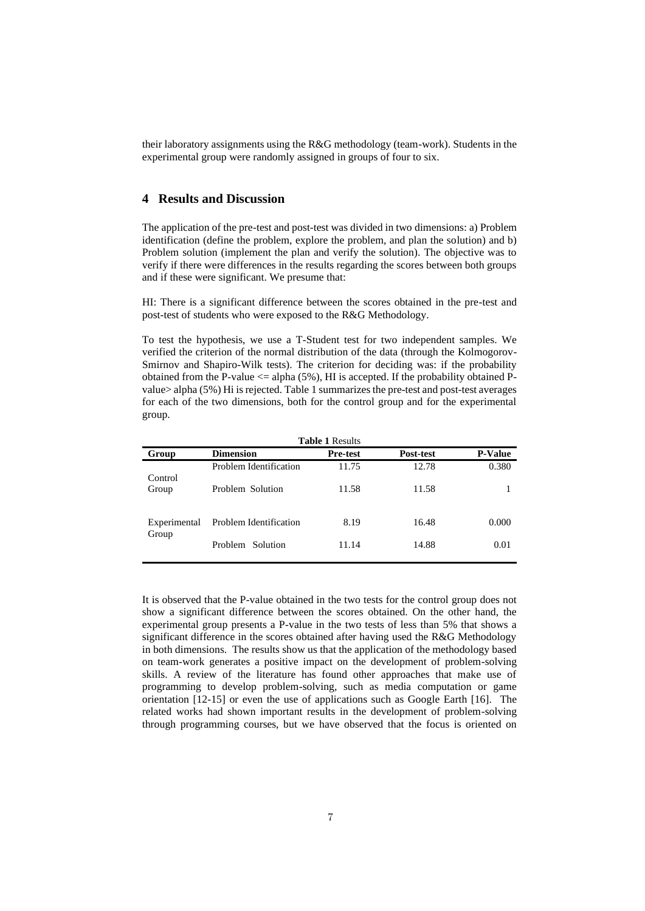their laboratory assignments using the R&G methodology (team-work). Students in the experimental group were randomly assigned in groups of four to six.

# **4 Results and Discussion**

The application of the pre-test and post-test was divided in two dimensions: a) Problem identification (define the problem, explore the problem, and plan the solution) and b) Problem solution (implement the plan and verify the solution). The objective was to verify if there were differences in the results regarding the scores between both groups and if these were significant. We presume that:

HI: There is a significant difference between the scores obtained in the pre-test and post-test of students who were exposed to the R&G Methodology.

To test the hypothesis, we use a T-Student test for two independent samples. We verified the criterion of the normal distribution of the data (through the Kolmogorov-Smirnov and Shapiro-Wilk tests). The criterion for deciding was: if the probability obtained from the P-value  $\leq$  alpha (5%), HI is accepted. If the probability obtained Pvalue> alpha (5%) Hi is rejected. Table 1 summarizes the pre-test and post-test averages for each of the two dimensions, both for the control group and for the experimental group.

| <b>Table 1 Results</b> |                        |                 |           |                |  |
|------------------------|------------------------|-----------------|-----------|----------------|--|
| Group                  | <b>Dimension</b>       | <b>Pre-test</b> | Post-test | <b>P-Value</b> |  |
| Control                | Problem Identification | 11.75           | 12.78     | 0.380          |  |
| Group                  | Problem Solution       | 11.58           | 11.58     |                |  |
| Experimental<br>Group  | Problem Identification | 8.19            | 16.48     | 0.000          |  |
|                        | Problem Solution       | 11.14           | 14.88     | 0.01           |  |

It is observed that the P-value obtained in the two tests for the control group does not show a significant difference between the scores obtained. On the other hand, the experimental group presents a P-value in the two tests of less than 5% that shows a significant difference in the scores obtained after having used the R&G Methodology in both dimensions. The results show us that the application of the methodology based on team-work generates a positive impact on the development of problem-solving skills. A review of the literature has found other approaches that make use of programming to develop problem-solving, such as media computation or game orientation [12-15] or even the use of applications such as Google Earth [16]. The related works had shown important results in the development of problem-solving through programming courses, but we have observed that the focus is oriented on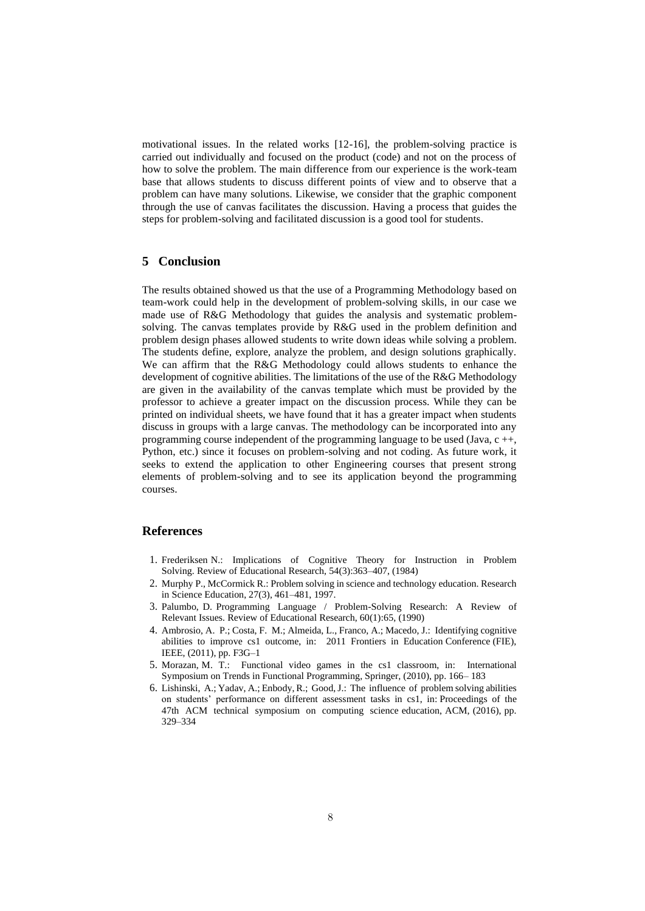motivational issues. In the related works [12-16], the problem-solving practice is carried out individually and focused on the product (code) and not on the process of how to solve the problem. The main difference from our experience is the work-team base that allows students to discuss different points of view and to observe that a problem can have many solutions. Likewise, we consider that the graphic component through the use of canvas facilitates the discussion. Having a process that guides the steps for problem-solving and facilitated discussion is a good tool for students.

## **5 Conclusion**

The results obtained showed us that the use of a Programming Methodology based on team-work could help in the development of problem-solving skills, in our case we made use of R&G Methodology that guides the analysis and systematic problemsolving. The canvas templates provide by R&G used in the problem definition and problem design phases allowed students to write down ideas while solving a problem. The students define, explore, analyze the problem, and design solutions graphically. We can affirm that the R&G Methodology could allows students to enhance the development of cognitive abilities. The limitations of the use of the R&G Methodology are given in the availability of the canvas template which must be provided by the professor to achieve a greater impact on the discussion process. While they can be printed on individual sheets, we have found that it has a greater impact when students discuss in groups with a large canvas. The methodology can be incorporated into any programming course independent of the programming language to be used (Java, c ++, Python, etc.) since it focuses on problem-solving and not coding. As future work, it seeks to extend the application to other Engineering courses that present strong elements of problem-solving and to see its application beyond the programming courses.

## **References**

- 1. Frederiksen N.: Implications of Cognitive Theory for Instruction in Problem Solving. Review of Educational Research, 54(3):363–407, (1984)
- 2. Murphy P., McCormick R.: Problem solving in science and technology education. Research in Science Education, 27(3), 461–481, 1997.
- 3. Palumbo, D. Programming Language / Problem-Solving Research: A Review of Relevant Issues. Review of Educational Research, 60(1):65, (1990)
- 4. Ambrosio, A. P.; Costa, F. M.; Almeida, L., Franco, A.; Macedo, J.: Identifying cognitive abilities to improve cs1 outcome, in: 2011 Frontiers in Education Conference (FIE), IEEE, (2011), pp. F3G–1
- 5. Morazan, M. T.: Functional video games in the cs1 classroom, in: International Symposium on Trends in Functional Programming, Springer, (2010), pp. 166– 183
- 6. Lishinski, A.; Yadav, A.; Enbody, R.; Good, J.: The influence of problem solving abilities on students' performance on different assessment tasks in cs1, in: Proceedings of the 47th ACM technical symposium on computing science education, ACM, (2016), pp. 329–334